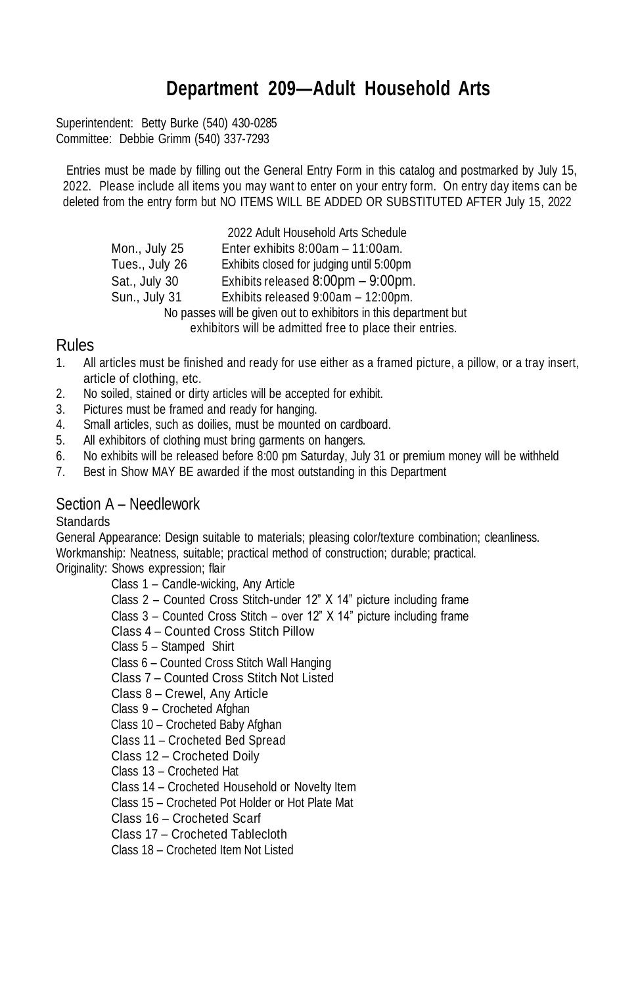# **Department 209—Adult Household Arts**

Superintendent: Betty Burke (540) 430-0285 Committee: Debbie Grimm (540) 337-7293

Entries must be made by filling out the General Entry Form in this catalog and postmarked by July 15, 2022. Please include all items you may want to enter on your entry form. On entry day items can be deleted from the entry form but NO ITEMS WILL BE ADDED OR SUBSTITUTED AFTER July 15, 2022

|                | 2022 Adult Household Arts Schedule                               |
|----------------|------------------------------------------------------------------|
| Mon., July 25  | Enter exhibits $8:00am - 11:00am$ .                              |
| Tues., July 26 | Exhibits closed for judging until 5:00pm                         |
| Sat., July 30  | Exhibits released 8:00pm - 9:00pm.                               |
| Sun., July 31  | Exhibits released 9:00am - 12:00pm.                              |
|                | No passes will be given out to exhibitors in this department but |
|                | aybibitara will be admitted frog to place their entrice.         |

#### exhibitors will be admitted free to place their entries.

### Rules

- 1. All articles must be finished and ready for use either as a framed picture, a pillow, or a tray insert, article of clothing, etc.
- 2. No soiled, stained or dirty articles will be accepted for exhibit.
- 3. Pictures must be framed and ready for hanging.
- 4. Small articles, such as doilies, must be mounted on cardboard.
- 5. All exhibitors of clothing must bring garments on hangers.
- 6. No exhibits will be released before 8:00 pm Saturday, July 31 or premium money will be withheld
- 7. Best in Show MAY BE awarded if the most outstanding in this Department

## Section A – Needlework

**Standards** 

General Appearance: Design suitable to materials; pleasing color/texture combination; cleanliness. Workmanship: Neatness, suitable; practical method of construction; durable; practical.

Originality: Shows expression; flair

- Class 1 Candle-wicking, Any Article
- Class 2 Counted Cross Stitch-under 12" X 14" picture including frame
- Class 3 Counted Cross Stitch over 12" X 14" picture including frame
- Class 4 Counted Cross Stitch Pillow
- Class 5 Stamped Shirt
- Class 6 Counted Cross Stitch Wall Hanging
- Class 7 Counted Cross Stitch Not Listed
- Class 8 Crewel, Any Article
- Class 9 Crocheted Afghan
- Class 10 Crocheted Baby Afghan
- Class 11 Crocheted Bed Spread
- Class 12 Crocheted Doily
- Class 13 Crocheted Hat
- Class 14 Crocheted Household or Novelty Item
- Class 15 Crocheted Pot Holder or Hot Plate Mat
- Class 16 Crocheted Scarf
- Class 17 Crocheted Tablecloth
- Class 18 Crocheted Item Not Listed